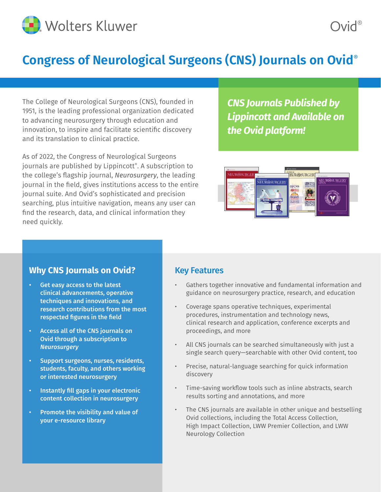

# **Congress of Neurological Surgeons (CNS) Journals on Ovid**®

The College of Neurological Surgeons (CNS), founded in 1951, is the leading professional organization dedicated to advancing neurosurgery through education and innovation, to inspire and facilitate scientific discovery and its translation to clinical practice.

As of 2022, the Congress of Neurological Surgeons journals are published by Lippincott®. A subscription to the college's flagship journal, *Neurosurgery*, the leading journal in the field, gives institutions access to the entire journal suite. And Ovid's sophisticated and precision searching, plus intuitive navigation, means any user can find the research, data, and clinical information they need quickly.

## *CNS Journals Published by Lippincott and Available on the Ovid platform!*



### **Why CNS Journals on Ovid?**

- Get easy access to the latest clinical advancements, operative techniques and innovations, and research contributions from the most respected figures in the field
- Access all of the CNS journals on Ovid through a subscription to *Neurosurgery*
- Support surgeons, nurses, residents, students, faculty, and others working or interested neurosurgery
- Instantly fill gaps in your electronic content collection in neurosurgery
- Promote the visibility and value of your e-resource library

### Key Features

- Gathers together innovative and fundamental information and guidance on neurosurgery practice, research, and education
- Coverage spans operative techniques, experimental procedures, instrumentation and technology news, clinical research and application, conference excerpts and proceedings, and more
- All CNS journals can be searched simultaneously with just a single search query—searchable with other Ovid content, too
- Precise, natural-language searching for quick information discovery
- Time-saving workflow tools such as inline abstracts, search results sorting and annotations, and more
- The CNS journals are available in other unique and bestselling Ovid collections, including the Total Access Collection, High Impact Collection, LWW Premier Collection, and LWW Neurology Collection